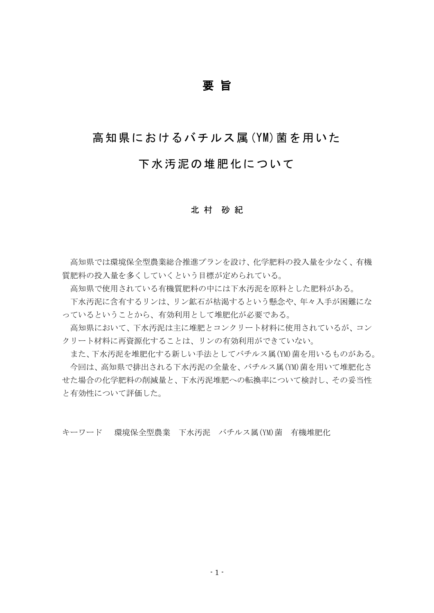## 要 旨

## 高知県におけるバチルス属(YM)菌を用いた

## 下水汚泥の堆肥化について

#### 北 村 砂 紀

高知県では環境保全型農業総合推進プランを設け、化学肥料の投入量を少なく、有機 質肥料の投入量を多くしていくという目標が定められている。

高知県で使用されている有機質肥料の中には下水汚泥を原料とした肥料がある。

下水汚泥に含有するリンは、リン鉱石が枯渇するという懸念や、年々入手が困難にな っているということから、有効利用として堆肥化が必要である。

高知県において、下水汚泥は主に堆肥とコンクリート材料に使用されているが、コン クリート材料に再資源化することは、リンの有効利用ができていない。

また、下水汚泥を堆肥化する新しい手法としてバチルス属(YM)菌を用いるものがある。 今回は、高知県で排出される下水汚泥の全量を、バチルス属(YM)菌を用いて堆肥化さ せた場合の化学肥料の削減量と、下水汚泥堆肥への転換率について検討し、その妥当性 と有効性について評価した。

キーワード 環境保全型農業 下水汚泥 バチルス属(YM)菌 有機堆肥化